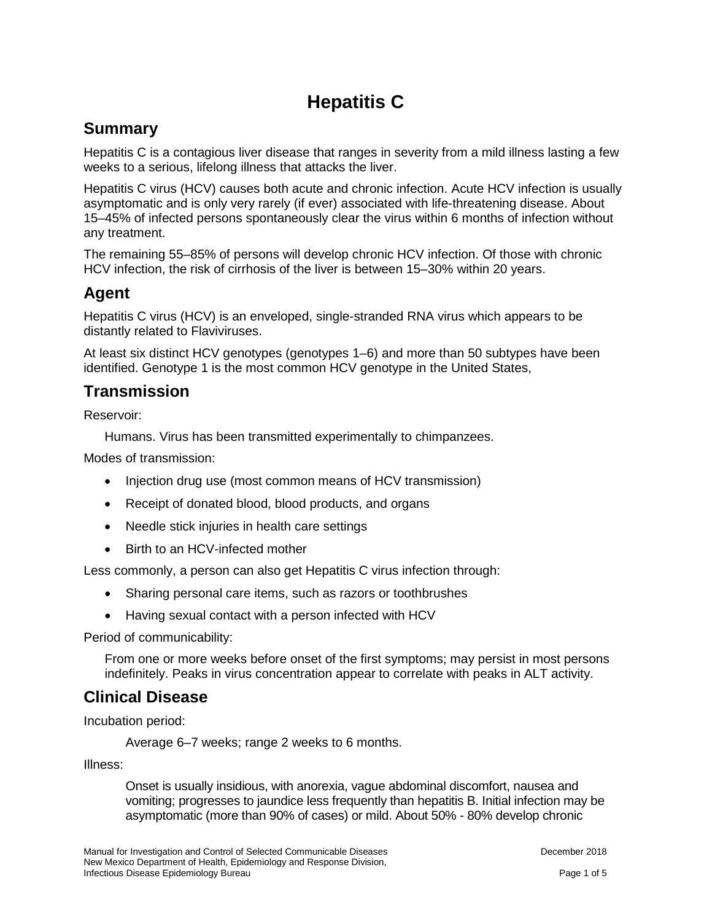# **Hepatitis C**

## **Summary**

Hepatitis C is a contagious liver disease that ranges in severity from a mild illness lasting a few weeks to a serious, lifelong illness that attacks the liver.

Hepatitis C virus (HCV) causes both acute and chronic infection. Acute HCV infection is usually asymptomatic and is only very rarely (if ever) associated with life-threatening disease. About 15–45% of infected persons spontaneously clear the virus within 6 months of infection without any treatment.

The remaining 55–85% of persons will develop chronic HCV infection. Of those with chronic HCV infection, the risk of cirrhosis of the liver is between 15–30% within 20 years.

### **Agent**

Hepatitis C virus (HCV) is an enveloped, single-stranded RNA virus which appears to be distantly related to Flaviviruses.

At least six distinct HCV genotypes (genotypes 1–6) and more than 50 subtypes have been identified. Genotype 1 is the most common HCV genotype in the United States,

### **Transmission**

Reservoir:

Humans. Virus has been transmitted experimentally to chimpanzees.

Modes of transmission:

- Injection drug use (most common means of HCV transmission)
- Receipt of donated blood, blood products, and organs
- Needle stick injuries in health care settings
- Birth to an HCV-infected mother

Less commonly, a person can also get Hepatitis C virus infection through:

- Sharing personal care items, such as razors or toothbrushes
- Having sexual contact with a person infected with HCV

Period of communicability:

From one or more weeks before onset of the first symptoms; may persist in most persons indefinitely. Peaks in virus concentration appear to correlate with peaks in ALT activity.

### **Clinical Disease**

Incubation period:

Average 6–7 weeks; range 2 weeks to 6 months.

Illness:

Onset is usually insidious, with anorexia, vague abdominal discomfort, nausea and vomiting; progresses to jaundice less frequently than hepatitis B. Initial infection may be asymptomatic (more than 90% of cases) or mild. About 50% - 80% develop chronic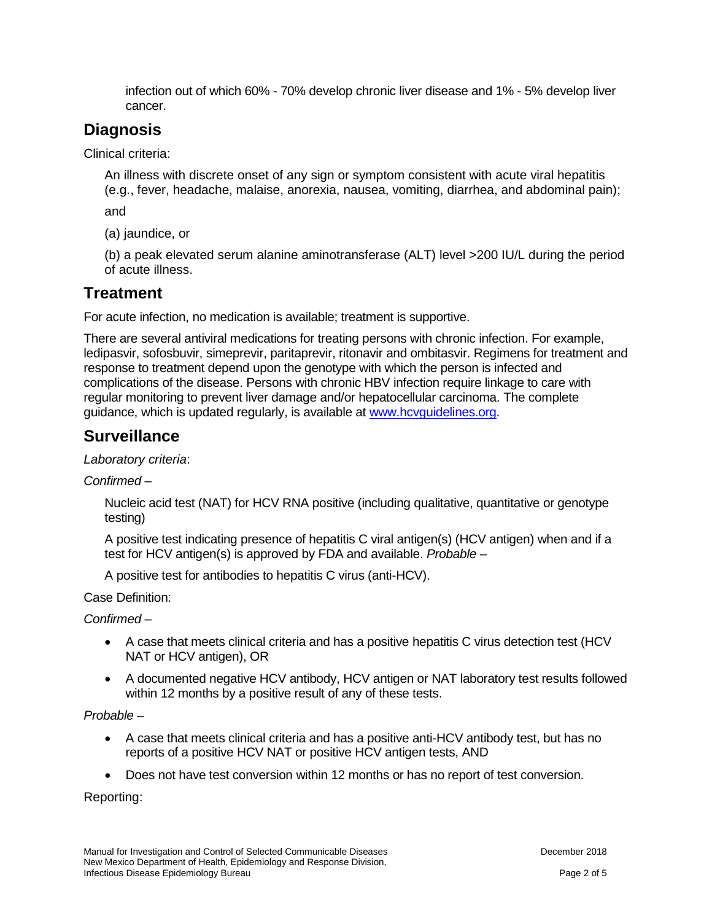infection out of which 60% - 70% develop chronic liver disease and 1% - 5% develop liver cancer.

# **Diagnosis**

Clinical criteria:

An illness with discrete onset of any sign or symptom consistent with acute viral hepatitis (e.g., fever, headache, malaise, anorexia, nausea, vomiting, diarrhea, and abdominal pain);

and

(a) jaundice, or

(b) a peak elevated serum alanine aminotransferase (ALT) level >200 IU/L during the period of acute illness.

# **Treatment**

For acute infection, no medication is available; treatment is supportive.

There are several antiviral medications for treating persons with chronic infection. For example, ledipasvir, sofosbuvir, simeprevir, paritaprevir, ritonavir and ombitasvir. Regimens for treatment and response to treatment depend upon the genotype with which the person is infected and complications of the disease. Persons with chronic HBV infection require linkage to care with regular monitoring to prevent liver damage and/or hepatocellular carcinoma. The complete guidance, which is updated regularly, is available at [www.hcvguidelines.org.](http://www.hcvguidelines.org/)

# **Surveillance**

#### *Laboratory criteria*:

*Confirmed* –

Nucleic acid test (NAT) for HCV RNA positive (including qualitative, quantitative or genotype testing)

A positive test indicating presence of hepatitis C viral antigen(s) (HCV antigen) when and if a test for HCV antigen(s) is approved by FDA and available. *Probable* –

A positive test for antibodies to hepatitis C virus (anti-HCV).

Case Definition:

*Confirmed* –

- A case that meets clinical criteria and has a positive hepatitis C virus detection test (HCV NAT or HCV antigen), OR
- A documented negative HCV antibody, HCV antigen or NAT laboratory test results followed within 12 months by a positive result of any of these tests.

#### *Probable* –

- A case that meets clinical criteria and has a positive anti-HCV antibody test, but has no reports of a positive HCV NAT or positive HCV antigen tests, AND
- Does not have test conversion within 12 months or has no report of test conversion.

Reporting: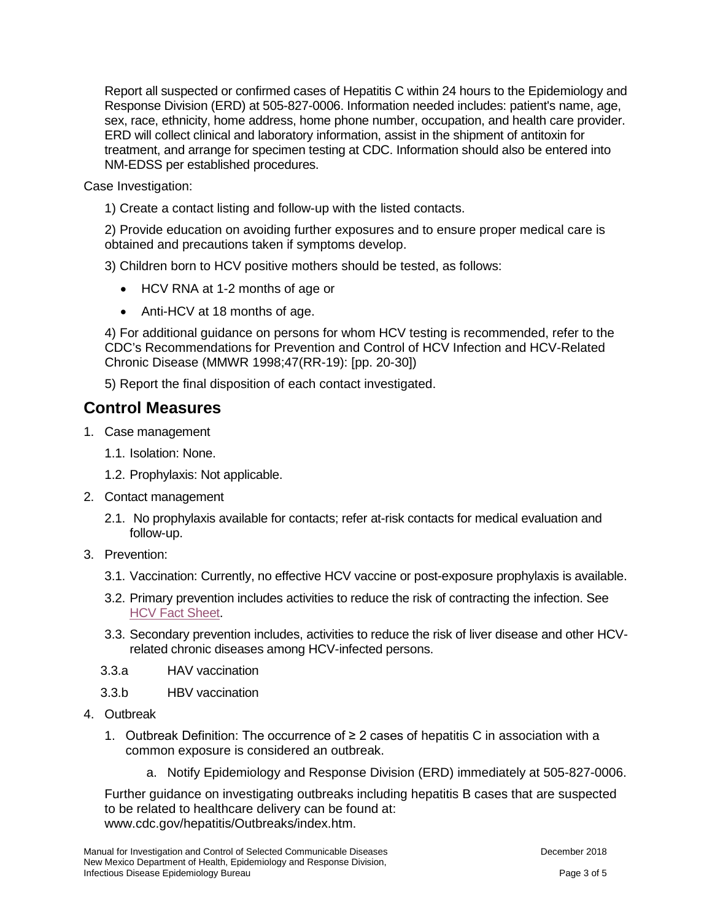Report all suspected or confirmed cases of Hepatitis C within 24 hours to the Epidemiology and Response Division (ERD) at 505-827-0006. Information needed includes: patient's name, age, sex, race, ethnicity, home address, home phone number, occupation, and health care provider. ERD will collect clinical and laboratory information, assist in the shipment of antitoxin for treatment, and arrange for specimen testing at CDC. Information should also be entered into NM-EDSS per established procedures.

Case Investigation:

1) Create a contact listing and follow-up with the listed contacts.

2) Provide education on avoiding further exposures and to ensure proper medical care is obtained and precautions taken if symptoms develop.

3) Children born to HCV positive mothers should be tested, as follows:

- HCV RNA at 1-2 months of age or
- Anti-HCV at 18 months of age.

4) For additional guidance on persons for whom HCV testing is recommended, refer to the CDC's Recommendations for Prevention and Control of HCV Infection and HCV-Related Chronic Disease (MMWR 1998;47(RR-19): [pp. 20-30])

5) Report the final disposition of each contact investigated.

# **Control Measures**

- 1. Case management
	- 1.1. Isolation: None.
	- 1.2. Prophylaxis: Not applicable.
- 2. Contact management
	- 2.1. No prophylaxis available for contacts; refer at-risk contacts for medical evaluation and follow-up.
- 3. Prevention:
	- 3.1. Vaccination: Currently, no effective HCV vaccine or post-exposure prophylaxis is available.
	- 3.2. Primary prevention includes activities to reduce the risk of contracting the infection. See [HCV Fact Sheet.](https://nmhealth.org/publication/view/general/5082/)
	- 3.3. Secondary prevention includes, activities to reduce the risk of liver disease and other HCVrelated chronic diseases among HCV-infected persons.
	- 3.3.a HAV vaccination
	- 3.3.b HBV vaccination
- 4. Outbreak
	- 1. Outbreak Definition: The occurrence of ≥ 2 cases of hepatitis C in association with a common exposure is considered an outbreak.
		- a. Notify Epidemiology and Response Division (ERD) immediately at 505-827-0006.

Further guidance on investigating outbreaks including hepatitis B cases that are suspected to be related to healthcare delivery can be found at: www.cdc.gov/hepatitis/Outbreaks/index.htm.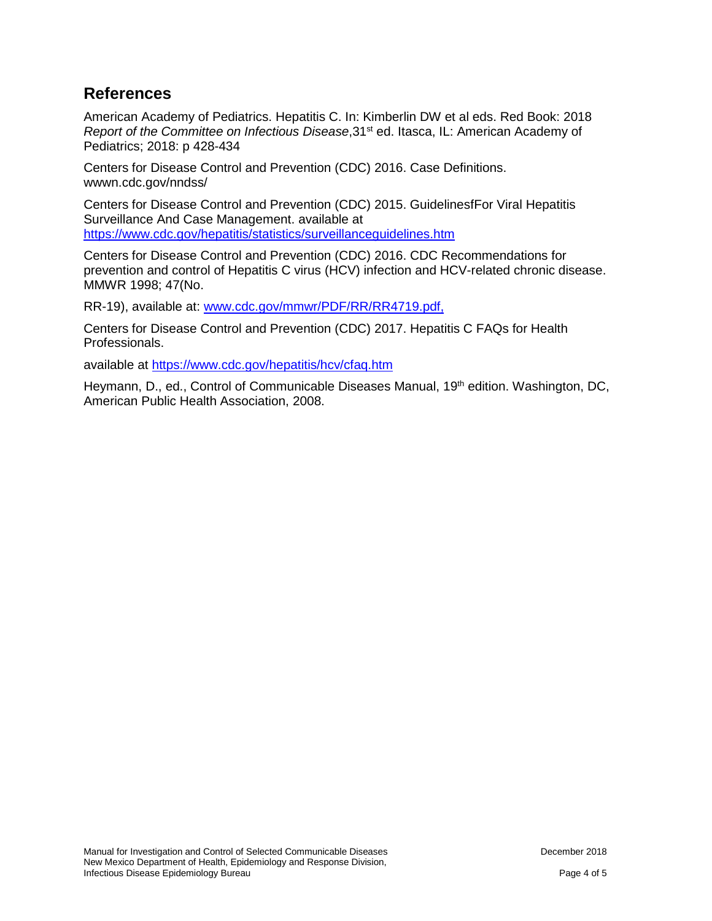### **References**

American Academy of Pediatrics. Hepatitis C. In: Kimberlin DW et al eds. Red Book: 2018 *Report of the Committee on Infectious Disease*, 31<sup>st</sup> ed. Itasca, IL: American Academy of Pediatrics; 2018: p 428-434

Centers for Disease Control and Prevention (CDC) 2016. Case Definitions. wwwn.cdc.gov/nndss/

Centers for Disease Control and Prevention (CDC) 2015. GuidelinesfFor Viral Hepatitis Surveillance And Case Management. available at <https://www.cdc.gov/hepatitis/statistics/surveillanceguidelines.htm>

Centers for Disease Control and Prevention (CDC) 2016. CDC Recommendations for prevention and control of Hepatitis C virus (HCV) infection and HCV-related chronic disease. MMWR 1998; 47(No.

RR-19), available at: [www.cdc.gov/mmwr/PDF/RR/RR4719.pdf,](http://www.cdc.gov/mmwr/PDF/RR/RR4719.pdf)

Centers for Disease Control and Prevention (CDC) 2017. Hepatitis C FAQs for Health Professionals.

available at<https://www.cdc.gov/hepatitis/hcv/cfaq.htm>

Heymann, D., ed., Control of Communicable Diseases Manual, 19<sup>th</sup> edition. Washington, DC, American Public Health Association, 2008.